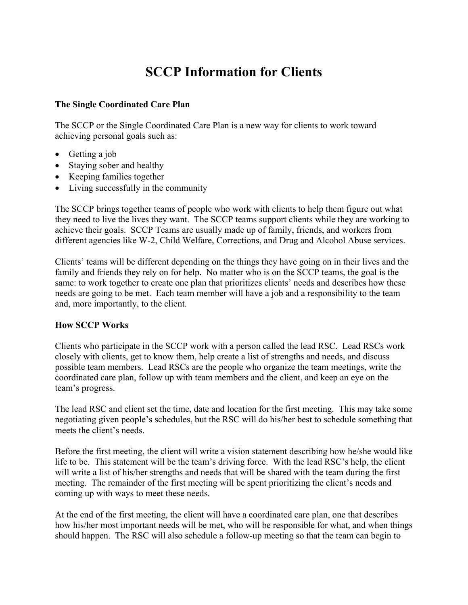# **SCCP Information for Clients**

#### **The Single Coordinated Care Plan**

The SCCP or the Single Coordinated Care Plan is a new way for clients to work toward achieving personal goals such as:

- Getting a job
- Staying sober and healthy
- Keeping families together
- Living successfully in the community

The SCCP brings together teams of people who work with clients to help them figure out what they need to live the lives they want. The SCCP teams support clients while they are working to achieve their goals. SCCP Teams are usually made up of family, friends, and workers from different agencies like W-2, Child Welfare, Corrections, and Drug and Alcohol Abuse services.

Clients' teams will be different depending on the things they have going on in their lives and the family and friends they rely on for help. No matter who is on the SCCP teams, the goal is the same: to work together to create one plan that prioritizes clients' needs and describes how these needs are going to be met. Each team member will have a job and a responsibility to the team and, more importantly, to the client.

#### **How SCCP Works**

Clients who participate in the SCCP work with a person called the lead RSC. Lead RSCs work closely with clients, get to know them, help create a list of strengths and needs, and discuss possible team members. Lead RSCs are the people who organize the team meetings, write the coordinated care plan, follow up with team members and the client, and keep an eye on the team's progress.

The lead RSC and client set the time, date and location for the first meeting. This may take some negotiating given people's schedules, but the RSC will do his/her best to schedule something that meets the client's needs.

Before the first meeting, the client will write a vision statement describing how he/she would like life to be. This statement will be the team's driving force. With the lead RSC's help, the client will write a list of his/her strengths and needs that will be shared with the team during the first meeting. The remainder of the first meeting will be spent prioritizing the client's needs and coming up with ways to meet these needs.

At the end of the first meeting, the client will have a coordinated care plan, one that describes how his/her most important needs will be met, who will be responsible for what, and when things should happen. The RSC will also schedule a follow-up meeting so that the team can begin to